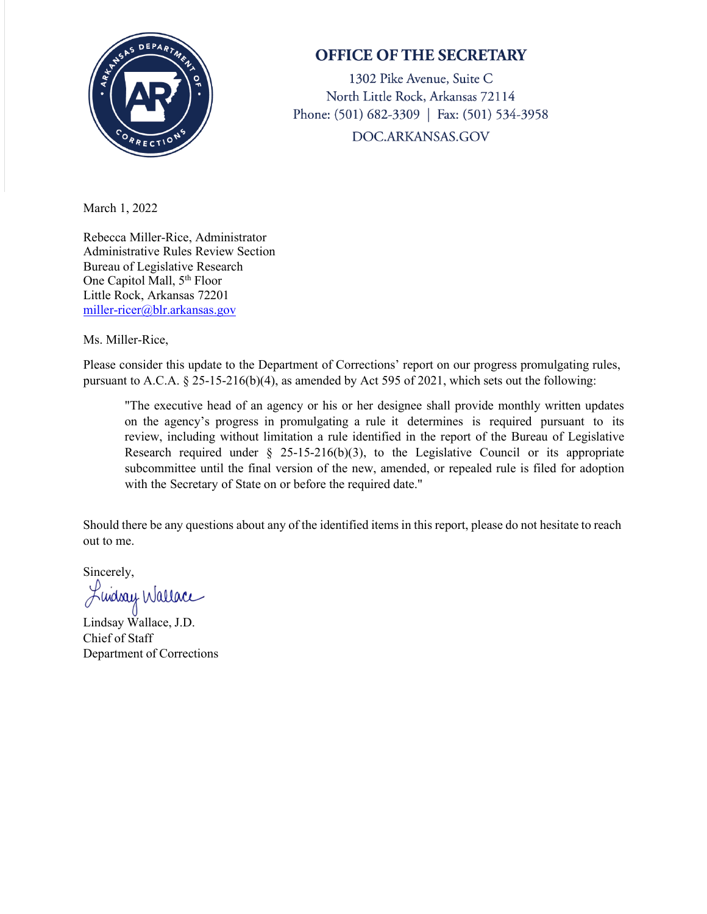

## **OFFICE OF THE SECRETARY**

1302 Pike Avenue, Suite C North Little Rock, Arkansas 72114 Phone: (501) 682-3309 | Fax: (501) 534-3958 DOC.ARKANSAS.GOV

March 1, 2022

Rebecca Miller-Rice, Administrator Administrative Rules Review Section Bureau of Legislative Research One Capitol Mall, 5<sup>th</sup> Floor Little Rock, Arkansas 72201 [miller-ricer@blr.arkansas.gov](mailto:miller-ricer@blr.arkansas.gov) 

Ms. Miller-Rice,

Please consider this update to the Department of Corrections' report on our progress promulgating rules, pursuant to A.C.A. § 25-15-216(b)(4), as amended by Act 595 of 2021, which sets out the following:

"The executive head of an agency or his or her designee shall provide monthly written updates on the agency's progress in promulgating a rule it determines is required pursuant to its review, including without limitation a rule identified in the report of the Bureau of Legislative Research required under  $\S$  25-15-216(b)(3), to the Legislative Council or its appropriate subcommittee until the final version of the new, amended, or repealed rule is filed for adoption with the Secretary of State on or before the required date."

Should there be any questions about any of the identified items in this report, please do not hesitate to reach out to me.

Sincerely,

Luiday Wallace

Lindsay Wallace, J.D. Chief of Staff Department of Corrections